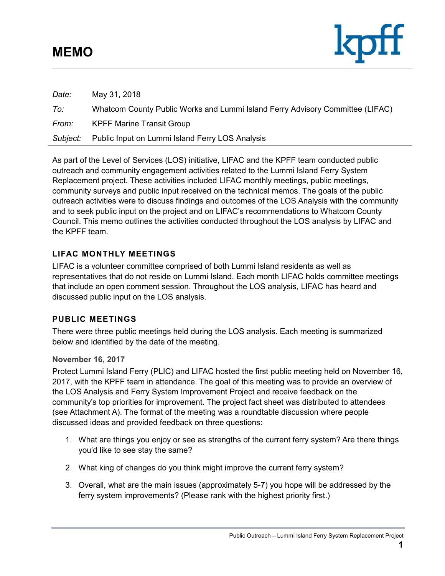### **MEMO**



| Date:    | May 31, 2018                                                                  |
|----------|-------------------------------------------------------------------------------|
| To:      | Whatcom County Public Works and Lummi Island Ferry Advisory Committee (LIFAC) |
| From:    | <b>KPFF Marine Transit Group</b>                                              |
| Subject: | Public Input on Lummi Island Ferry LOS Analysis                               |

As part of the Level of Services (LOS) initiative, LIFAC and the KPFF team conducted public outreach and community engagement activities related to the Lummi Island Ferry System Replacement project. These activities included LIFAC monthly meetings, public meetings, community surveys and public input received on the technical memos. The goals of the public outreach activities were to discuss findings and outcomes of the LOS Analysis with the community and to seek public input on the project and on LIFAC's recommendations to Whatcom County Council. This memo outlines the activities conducted throughout the LOS analysis by LIFAC and the KPFF team.

### **LIFAC MONTHLY MEETINGS**

LIFAC is a volunteer committee comprised of both Lummi Island residents as well as representatives that do not reside on Lummi Island. Each month LIFAC holds committee meetings that include an open comment session. Throughout the LOS analysis, LIFAC has heard and discussed public input on the LOS analysis.

### **PUBLIC MEETINGS**

There were three public meetings held during the LOS analysis. Each meeting is summarized below and identified by the date of the meeting.

#### **November 16, 2017**

Protect Lummi Island Ferry (PLIC) and LIFAC hosted the first public meeting held on November 16, 2017, with the KPFF team in attendance. The goal of this meeting was to provide an overview of the LOS Analysis and Ferry System Improvement Project and receive feedback on the community's top priorities for improvement. The project fact sheet was distributed to attendees (see Attachment A). The format of the meeting was a roundtable discussion where people discussed ideas and provided feedback on three questions:

- 1. What are things you enjoy or see as strengths of the current ferry system? Are there things you'd like to see stay the same?
- 2. What king of changes do you think might improve the current ferry system?
- 3. Overall, what are the main issues (approximately 5-7) you hope will be addressed by the ferry system improvements? (Please rank with the highest priority first.)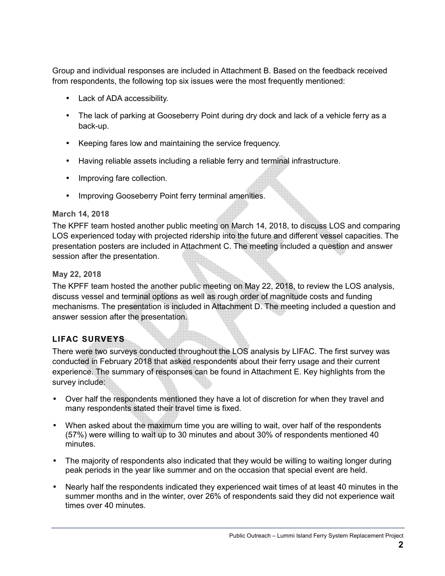Group and individual responses are included in Attachment B. Based on the feedback received from respondents, the following top six issues were the most frequently mentioned:

- Lack of ADA accessibility.
- The lack of parking at Gooseberry Point during dry dock and lack of a vehicle ferry as a back-up.
- Keeping fares low and maintaining the service frequency.
- Having reliable assets including a reliable ferry and terminal infrastructure.
- Improving fare collection.
- Improving Gooseberry Point ferry terminal amenities.

### **March 14, 2018**

The KPFF team hosted another public meeting on March 14, 2018, to discuss LOS and comparing LOS experienced today with projected ridership into the future and different vessel capacities. The presentation posters are included in Attachment C. The meeting included a question and answer session after the presentation.

### **May 22, 2018**

The KPFF team hosted the another public meeting on May 22, 2018, to review the LOS analysis, discuss vessel and terminal options as well as rough order of magnitude costs and funding mechanisms. The presentation is included in Attachment D. The meeting included a question and answer session after the presentation.

### **LIFAC SURVEYS**

There were two surveys conducted throughout the LOS analysis by LIFAC. The first survey was conducted in February 2018 that asked respondents about their ferry usage and their current experience. The summary of responses can be found in Attachment E. Key highlights from the survey include:

- Over half the respondents mentioned they have a lot of discretion for when they travel and many respondents stated their travel time is fixed.
- When asked about the maximum time you are willing to wait, over half of the respondents (57%) were willing to wait up to 30 minutes and about 30% of respondents mentioned 40 minutes.
- The majority of respondents also indicated that they would be willing to waiting longer during peak periods in the year like summer and on the occasion that special event are held.
- Nearly half the respondents indicated they experienced wait times of at least 40 minutes in the summer months and in the winter, over 26% of respondents said they did not experience wait times over 40 minutes.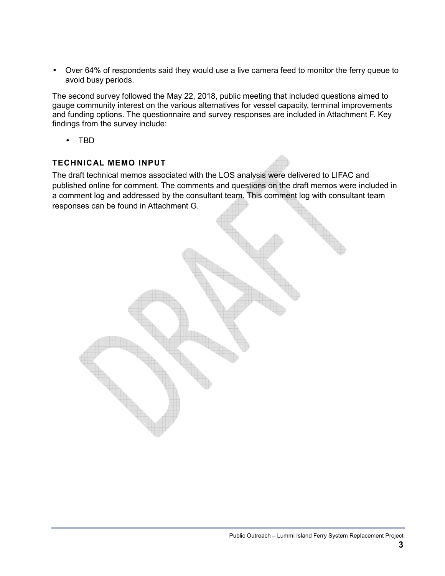• Over 64% of respondents said they would use a live camera feed to monitor the ferry queue to avoid busy periods.

The second survey followed the May 22, 2018, public meeting that included questions aimed to gauge community interest on the various alternatives for vessel capacity, terminal improvements and funding options. The questionnaire and survey responses are included in Attachment F. Key findings from the survey include:

• TBD

### **TECHNICAL MEMO INPUT**

The draft technical memos associated with the LOS analysis were delivered to LIFAC and published online for comment. The comments and questions on the draft memos were included in a comment log and addressed by the consultant team. This comment log with consultant team responses can be found in Attachment G.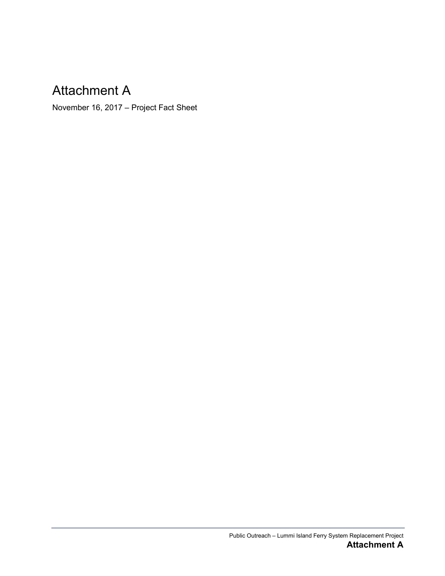### Attachment A

November 16, 2017 – Project Fact Sheet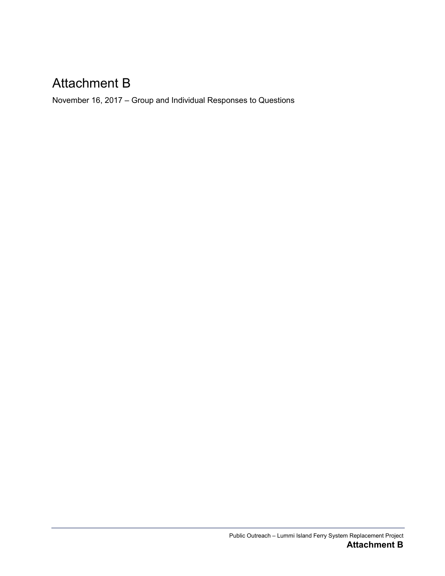## Attachment B

November 16, 2017 – Group and Individual Responses to Questions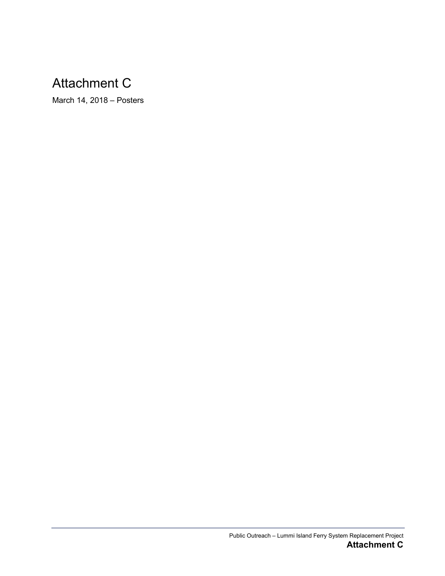# Attachment C

March 14, 2018 – Posters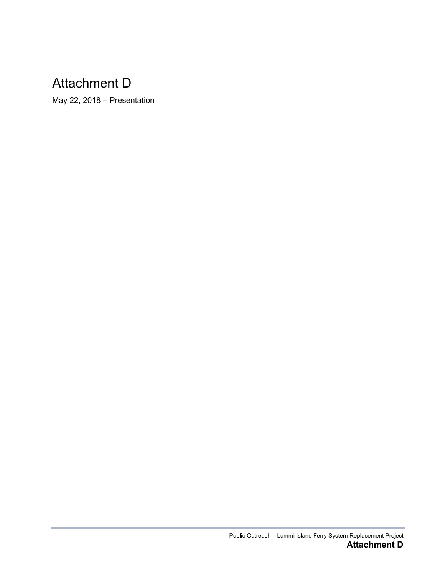# Attachment D

May 22, 2018 – Presentation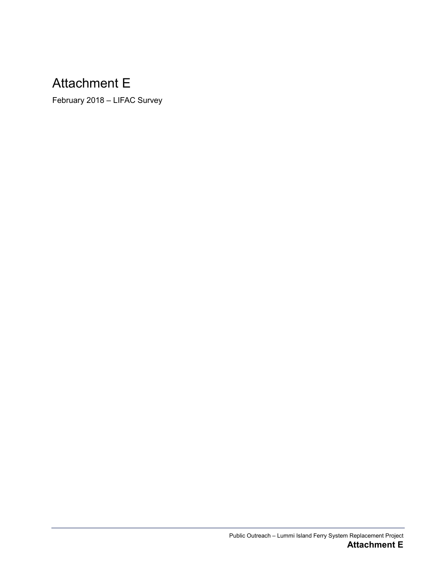# Attachment E

February 2018 – LIFAC Survey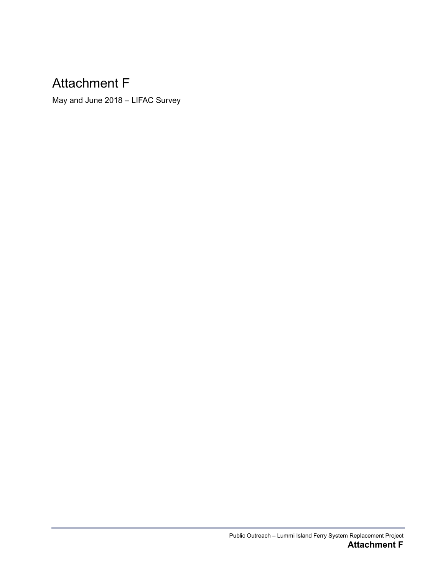# Attachment F

May and June 2018 – LIFAC Survey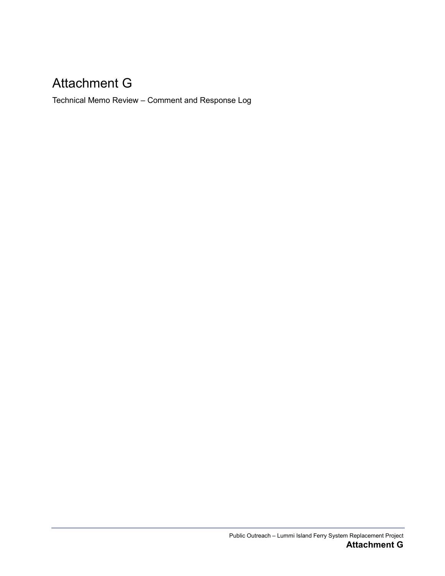# Attachment G

Technical Memo Review – Comment and Response Log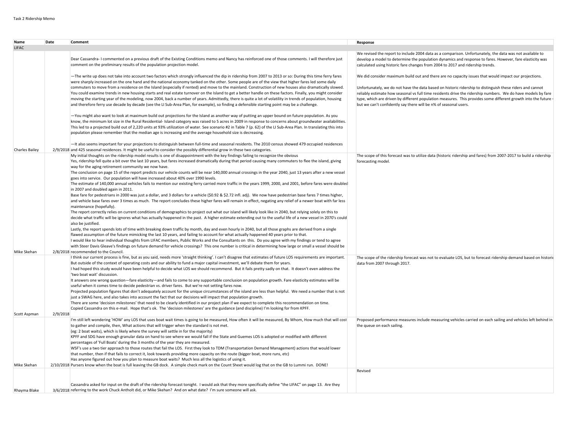| Name                                 | Date     | <b>Comment</b>                                                                                                                                                                                                                                                                                                                                                                                                                                                                                                                                                                                                                                                                                                                                                                                                                                                                                                                                                                                                                                                                                                                                                                                                                                                                                                                                                                                                                                                                                                                                                                                                                                                                                                                                                                                                                                                                                                                                                                                                                                                                                                                                                                                                                                                                                                                                                                                                                                                                                                          |                                                                                                                                                                                                                                                                                                                                                                                                                                                                                                                          |
|--------------------------------------|----------|-------------------------------------------------------------------------------------------------------------------------------------------------------------------------------------------------------------------------------------------------------------------------------------------------------------------------------------------------------------------------------------------------------------------------------------------------------------------------------------------------------------------------------------------------------------------------------------------------------------------------------------------------------------------------------------------------------------------------------------------------------------------------------------------------------------------------------------------------------------------------------------------------------------------------------------------------------------------------------------------------------------------------------------------------------------------------------------------------------------------------------------------------------------------------------------------------------------------------------------------------------------------------------------------------------------------------------------------------------------------------------------------------------------------------------------------------------------------------------------------------------------------------------------------------------------------------------------------------------------------------------------------------------------------------------------------------------------------------------------------------------------------------------------------------------------------------------------------------------------------------------------------------------------------------------------------------------------------------------------------------------------------------------------------------------------------------------------------------------------------------------------------------------------------------------------------------------------------------------------------------------------------------------------------------------------------------------------------------------------------------------------------------------------------------------------------------------------------------------------------------------------------------|--------------------------------------------------------------------------------------------------------------------------------------------------------------------------------------------------------------------------------------------------------------------------------------------------------------------------------------------------------------------------------------------------------------------------------------------------------------------------------------------------------------------------|
| <b>LIFAC</b>                         |          |                                                                                                                                                                                                                                                                                                                                                                                                                                                                                                                                                                                                                                                                                                                                                                                                                                                                                                                                                                                                                                                                                                                                                                                                                                                                                                                                                                                                                                                                                                                                                                                                                                                                                                                                                                                                                                                                                                                                                                                                                                                                                                                                                                                                                                                                                                                                                                                                                                                                                                                         | Response                                                                                                                                                                                                                                                                                                                                                                                                                                                                                                                 |
|                                      |          | Dear Cassandra-I commented on a previous draft of the Existing Conditions memo and Nancy has reinforced one of those comments. I will therefore just<br>comment on the preliminary results of the population projection model.                                                                                                                                                                                                                                                                                                                                                                                                                                                                                                                                                                                                                                                                                                                                                                                                                                                                                                                                                                                                                                                                                                                                                                                                                                                                                                                                                                                                                                                                                                                                                                                                                                                                                                                                                                                                                                                                                                                                                                                                                                                                                                                                                                                                                                                                                          | We revised the report to include 2004 data as a comparison. Unfortunately, the data was not available to<br>develop a model to determine the population dynamics and response to fares. However, fare elasticity was<br>calculated using historic fare changes from 2004 to 2017 and ridership trends.                                                                                                                                                                                                                   |
|                                      |          | -The write up does not take into account two factors which strongly influenced the dip in ridership from 2007 to 2013 or so: During this time ferry fares<br>were sharply increased on the one hand and the national economy tanked on the other. Some people are of the view that higher fares led some daily<br>commuters to move from a residence on the Island (especially if rented) and move to the mainland. Construction of new houses also dramatically slowed.<br>You could examine trends in new housing starts and real estate turnover on the Island to get a better handle on these factors. Finally, you might consider<br>moving the starting year of the modeling, now 2004, back a number of years. Admittedly, there is quite a lot of volatility in trends of population, housing<br>and therefore ferry use decade by decade (see the LI Sub-Area Plan, for example), so finding a defensible starting point may be a challenge.                                                                                                                                                                                                                                                                                                                                                                                                                                                                                                                                                                                                                                                                                                                                                                                                                                                                                                                                                                                                                                                                                                                                                                                                                                                                                                                                                                                                                                                                                                                                                                   | We did consider maximum build out and there are no capacity issues that would impact our projections.<br>Unfortunately, we do not have the data based on historic ridership to distinguish these riders and cannot<br>reliably estimate how seasonal vs full time residents drive the ridership numbers. We do have models by fare<br>type, which are driven by different population measures. This provides some different growth into the future -<br>but we can't confidently say there will be n% of seasonal users. |
|                                      |          | -You might also want to look at maximum build out projections for the Island as another way of putting an upper bound on future population. As you<br>know, the minimum lot size in the Rural Residential-Island category was raised to 5 acres in 2009 in response to concerns about groundwater availabilities.<br>This led to a projected build out of 2,220 units at 93% utilization of water. See scenario #2 in Table 7 (p. 62) of the LI Sub-Area Plan. In translating this into<br>population please remember that the median age is increasing and the average household size is decreasing.                                                                                                                                                                                                                                                                                                                                                                                                                                                                                                                                                                                                                                                                                                                                                                                                                                                                                                                                                                                                                                                                                                                                                                                                                                                                                                                                                                                                                                                                                                                                                                                                                                                                                                                                                                                                                                                                                                                   |                                                                                                                                                                                                                                                                                                                                                                                                                                                                                                                          |
|                                      |          | -It also seems important for your projections to distinguish between full-time and seasonal residents. The 2010 census showed 479 occupied residences                                                                                                                                                                                                                                                                                                                                                                                                                                                                                                                                                                                                                                                                                                                                                                                                                                                                                                                                                                                                                                                                                                                                                                                                                                                                                                                                                                                                                                                                                                                                                                                                                                                                                                                                                                                                                                                                                                                                                                                                                                                                                                                                                                                                                                                                                                                                                                   |                                                                                                                                                                                                                                                                                                                                                                                                                                                                                                                          |
| <b>Charles Bailey</b><br>Mike Skehan |          | 2/9/2018 and 425 seasonal residences. It might be useful to consider the possibly differential grow in these two categories.<br>My initial thoughts on the ridership model results is one of disappointment with the key findings failing to recognize the obvious<br>Yes, ridership fell quite a bit over the last 10 years, but fares increased dramatically during that period causing many commuters to flee the island, giving<br>way for the aging retirement community we now have.<br>The conclusion on page 15 of the report predicts our vehicle counts will be near 140,000 annual crossings in the year 2040, just 13 years after a new vessel<br>goes into service. Our population will have increased about 40% over 1990 levels.<br>The estimate of 140,000 annual vehicles fails to mention our existing ferry carried more traffic in the years 1999, 2000, and 2001, before fares were doubled<br>in 2007 and doubled again in 2011.<br>Base fare for pedestrians in 2000 was just a dollar, and 3 dollars for a vehicle (\$0.92 & \$2.72 infl. adj). We now have pedestrian base fares 7 times higher,<br>and vehicle base fares over 3 times as much. The report concludes these higher fares will remain in effect, negating any relief of a newer boat with far less<br>maintenance (hopefully).<br>The report correctly relies on current conditions of demographics to project out what our island will likely look like in 2040, but relying solely on this to<br>decide what traffic will be ignores what has actually happened in the past. A higher estimate extending out to the useful life of a new vessel in 2070's could<br>also be justified.<br>Lastly, the report spends lots of time with breaking down traffic by month, day and even hourly in 2040, but all those graphs are derived from a single<br>flawed assumption of the future mimicking the last 10 years, and failing to account for what actually happened 40 years prior to that.<br>I would like to hear individual thoughts from LIFAC members, Public Works and the Consultants on this. Do you agree with my findings or tend to agree<br>with Steer Davis Gleave's findings on future demand for vehicle crossings? This one number is critical in determining how large or small a vessel should be<br>2/8/2018 recommended to the Council.<br>I think our current process is fine, but as you said, needs more 'straight thinking'. I can't disagree that estimates of future LOS requirements are important. | The scope of this forecast was to utilize data (historic ridership and fares) from 2007-2017 to build a ridership<br>forecasting model.<br>The scope of the ridership forecast was not to evaluate LOS, but to forecast ridership demand based on historic                                                                                                                                                                                                                                                               |
|                                      |          | But outside of the context of operating costs and our ability to fund a major capital investment, we'll debate them for years.<br>I had hoped this study would have been helpful to decide what LOS we should recommend. But it fails pretty sadly on that. It doesn't even address the<br>'two boat wait' discussion.<br>It answers one wrong question-fare elasticity-and fails to come to any supportable conclusion on population growth. Fare elasticity estimates will be<br>useful when it comes time to decide pedestrian vs. driver fares. But we're not setting fares now.<br>Projected population figures that don't adequately account for the unique circumstances of the island are less than helpful. We need a number that is not<br>just a SWAG here, and also takes into account the fact that our decisions will impact that population growth.<br>There are some 'decision milestones' that need to be clearly identified in our project plan if we expect to complete this recommendation on time.<br>Copied Cassandra on this e-mail. Hope that's ok. The 'decision milestones' are the guidance (and discipline) I'm looking for from KPFF.                                                                                                                                                                                                                                                                                                                                                                                                                                                                                                                                                                                                                                                                                                                                                                                                                                                                                                                                                                                                                                                                                                                                                                                                                                                                                                                                                      | data from 2007 through 2017.                                                                                                                                                                                                                                                                                                                                                                                                                                                                                             |
| Scott Aspman                         | 2/9/2018 |                                                                                                                                                                                                                                                                                                                                                                                                                                                                                                                                                                                                                                                                                                                                                                                                                                                                                                                                                                                                                                                                                                                                                                                                                                                                                                                                                                                                                                                                                                                                                                                                                                                                                                                                                                                                                                                                                                                                                                                                                                                                                                                                                                                                                                                                                                                                                                                                                                                                                                                         |                                                                                                                                                                                                                                                                                                                                                                                                                                                                                                                          |
| Mike Skehan                          |          | I'm still left wondering 'HOW' any LOS that uses boat wait times is going to be measured, How often it will be measured, By Whom, How much that will cost<br>to gather and compile, then, What actions that will trigger when the standard is not met.<br>(eg: 2 boat waits), which is likely where the survey will settle in for the majority)<br>KPFF and SDG have enough granular data on hand to see where we would fall if the State and Guemes LOS is adopted or modified with different<br>percentages of 'Full Boats' during the 3 months of the year they are measured.<br>WSF's use a two tier approach to those routes that fail the LOS. First they look to TDM (Transportation Demand Management) actions that would lower<br>that number, then if that fails to correct it, look towards providing more capacity on the route (bigger boat, more runs, etc)<br>Has anyone figured out how you plan to measure boat waits? Much less all the logistics of using it.<br>2/10/2018 Pursers know when the boat is full leaving the GB dock. A simple check mark on the Count Sheet would log that on the GB to Lummi run. DONE!                                                                                                                                                                                                                                                                                                                                                                                                                                                                                                                                                                                                                                                                                                                                                                                                                                                                                                                                                                                                                                                                                                                                                                                                                                                                                                                                                                               | Proposed performance measures include measuring vehicles carried on each sailing and vehicles left behind in<br>the queue on each sailing.<br>Revised                                                                                                                                                                                                                                                                                                                                                                    |
|                                      |          |                                                                                                                                                                                                                                                                                                                                                                                                                                                                                                                                                                                                                                                                                                                                                                                                                                                                                                                                                                                                                                                                                                                                                                                                                                                                                                                                                                                                                                                                                                                                                                                                                                                                                                                                                                                                                                                                                                                                                                                                                                                                                                                                                                                                                                                                                                                                                                                                                                                                                                                         |                                                                                                                                                                                                                                                                                                                                                                                                                                                                                                                          |
| Rhayma Blake                         |          | Cassandra asked for input on the draft of the ridership forecast tonight. I would ask that they more specifically define "the LIFAC" on page 13. Are they<br>3/6/2018 referring to the work Chuck Antholt did, or Mike Skehan? And on what date? I'm sure someone will ask.                                                                                                                                                                                                                                                                                                                                                                                                                                                                                                                                                                                                                                                                                                                                                                                                                                                                                                                                                                                                                                                                                                                                                                                                                                                                                                                                                                                                                                                                                                                                                                                                                                                                                                                                                                                                                                                                                                                                                                                                                                                                                                                                                                                                                                             |                                                                                                                                                                                                                                                                                                                                                                                                                                                                                                                          |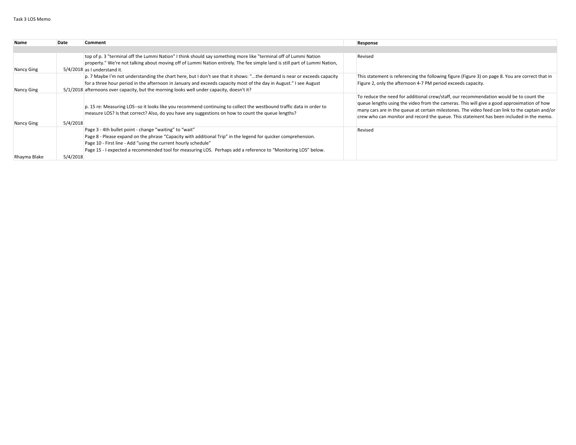| Name         | Date     | <b>Comment</b>                                                                                                                                                                                                                                                                                                                                             | Response                                                                                                                                                                                                                                                                                                                                                                            |
|--------------|----------|------------------------------------------------------------------------------------------------------------------------------------------------------------------------------------------------------------------------------------------------------------------------------------------------------------------------------------------------------------|-------------------------------------------------------------------------------------------------------------------------------------------------------------------------------------------------------------------------------------------------------------------------------------------------------------------------------------------------------------------------------------|
|              |          |                                                                                                                                                                                                                                                                                                                                                            |                                                                                                                                                                                                                                                                                                                                                                                     |
| Nancy Ging   |          | top of p. 3 "terminal off the Lummi Nation" I think should say something more like "terminal off of Lummi Nation<br>property." We're not talking about moving off of Lummi Nation entirely. The fee simple land is still part of Lummi Nation,<br>$5/4/2018$ as I understand it.                                                                           | Revised                                                                                                                                                                                                                                                                                                                                                                             |
| Nancy Ging   |          | p. 7 Maybe I'm not understanding the chart here, but I don't see that it shows: "the demand is near or exceeds capacity<br>for a three hour period in the afternoon in January and exceeds capacity most of the day in August." I see August<br>$5/1/2018$ afternoons over capacity, but the morning looks well under capacity, doesn't it?                | This statement is referencing the following figure (Figure 3) on page 8. You are correct that in<br>Figure 2, only the afternoon 4-7 PM period exceeds capacity.                                                                                                                                                                                                                    |
| Nancy Ging   | 5/4/2018 | p. 15 re: Measuring LOS--so it looks like you recommend continuing to collect the westbound traffic data in order to<br>measure LOS? Is that correct? Also, do you have any suggestions on how to count the queue lengths?                                                                                                                                 | To reduce the need for additional crew/staff, our recommendation would be to count the<br>queue lengths using the video from the cameras. This will give a good approximation of how<br>many cars are in the queue at certain milestones. The video feed can link to the captain and/or<br>crew who can monitor and record the queue. This statement has been included in the memo. |
|              |          | Page 3 - 4th bullet point - change "waiting" to "wait"<br>Page 8 - Please expand on the phrase "Capacity with additional Trip" in the legend for quicker comprehension.<br>Page 10 - First line - Add "using the current hourly schedule"<br>Page 15 - I expected a recommended tool for measuring LOS. Perhaps add a reference to "Monitoring LOS" below. | Revised                                                                                                                                                                                                                                                                                                                                                                             |
| Rhayma Blake | 5/4/2018 |                                                                                                                                                                                                                                                                                                                                                            |                                                                                                                                                                                                                                                                                                                                                                                     |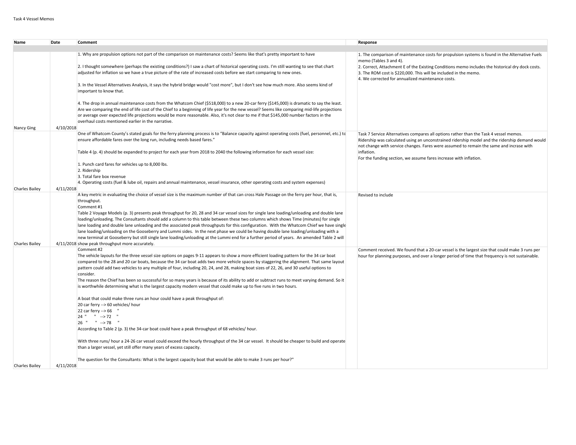| <b>Name</b>           | Date      | Comment                                                                                                                                                                                                                                                                                                                                                                                                                                     | Response                                                                                                                                                                                  |
|-----------------------|-----------|---------------------------------------------------------------------------------------------------------------------------------------------------------------------------------------------------------------------------------------------------------------------------------------------------------------------------------------------------------------------------------------------------------------------------------------------|-------------------------------------------------------------------------------------------------------------------------------------------------------------------------------------------|
|                       |           |                                                                                                                                                                                                                                                                                                                                                                                                                                             |                                                                                                                                                                                           |
|                       |           | 1. Why are propulsion options not part of the comparison on maintenance costs? Seems like that's pretty important to have                                                                                                                                                                                                                                                                                                                   | 1. The comparison of maintenance costs for propulsion systems is found in the Alternative Fuels<br>memo (Tables 3 and 4).                                                                 |
|                       |           | 2. I thought somewhere (perhaps the existing conditions?) I saw a chart of historical operating costs. I'm still wanting to see that chart                                                                                                                                                                                                                                                                                                  | 2. Correct, Attachment E of the Existing Conditions memo includes the historical dry dock costs.                                                                                          |
|                       |           | adjusted for inflation so we have a true picture of the rate of increased costs before we start comparing to new ones.                                                                                                                                                                                                                                                                                                                      | 3. The ROM cost is \$220,000. This will be included in the memo.<br>4. We corrected for annualized maintenance costs.                                                                     |
|                       |           | 3. In the Vessel Alternatives Analysis, it says the hybrid bridge would "cost more", but I don't see how much more. Also seems kind of<br>important to know that.                                                                                                                                                                                                                                                                           |                                                                                                                                                                                           |
|                       |           | 4. The drop in annual maintenance costs from the Whatcom Chief (\$518,000) to a new 20-car ferry (\$145,000) is dramatic to say the least.<br>Are we comparing the end of life cost of the Chief to a beginning of life year for the new vessel? Seems like comparing mid-life projections<br>or average over expected life projections would be more reasonable. Also, it's not clear to me if that \$145,000 number factors in the        |                                                                                                                                                                                           |
|                       |           | overhaul costs mentioned earlier in the narrative.                                                                                                                                                                                                                                                                                                                                                                                          |                                                                                                                                                                                           |
| <b>Nancy Ging</b>     | 4/10/2018 | One of Whatcom County's stated goals for the ferry planning process is to "Balance capacity against operating costs (fuel, personnel, etc.) to                                                                                                                                                                                                                                                                                              | Task 7 Service Alternatives compares all options rather than the Task 4 vessel memos.                                                                                                     |
|                       |           | ensure affordable fares over the long run, including needs based fares."                                                                                                                                                                                                                                                                                                                                                                    | Ridership was calculated using an unconstrained ridership model and the ridership demand would<br>not change with service changes. Fares were assumed to remain the same and incrase with |
|                       |           | Table 4 (p. 4) should be expanded to project for each year from 2018 to 2040 the following information for each vessel size:                                                                                                                                                                                                                                                                                                                | inflation.<br>For the funding section, we assume fares increase with inflation.                                                                                                           |
|                       |           | 1. Punch card fares for vehicles up to 8,000 lbs.                                                                                                                                                                                                                                                                                                                                                                                           |                                                                                                                                                                                           |
|                       |           | 2. Ridership                                                                                                                                                                                                                                                                                                                                                                                                                                |                                                                                                                                                                                           |
|                       |           | 3. Total fare box revenue                                                                                                                                                                                                                                                                                                                                                                                                                   |                                                                                                                                                                                           |
| <b>Charles Bailey</b> | 4/11/2018 | 4. Operating costs (fuel & lube oil, repairs and annual maintenance, vessel insurance, other operating costs and system expenses)                                                                                                                                                                                                                                                                                                           |                                                                                                                                                                                           |
|                       |           | A key metric in evaluating the choice of vessel size is the maximum number of that can cross Hale Passage on the ferry per hour, that is,                                                                                                                                                                                                                                                                                                   | Revised to include                                                                                                                                                                        |
|                       |           | throughput.                                                                                                                                                                                                                                                                                                                                                                                                                                 |                                                                                                                                                                                           |
|                       |           | Comment #1                                                                                                                                                                                                                                                                                                                                                                                                                                  |                                                                                                                                                                                           |
|                       |           | Table 2 Voyage Models (p. 3) presents peak throughput for 20, 28 and 34 car vessel sizes for single lane loading/unloading and double lane<br>loading/unloading. The Consultants should add a column to this table between these two columns which shows Time (minutes) for single                                                                                                                                                          |                                                                                                                                                                                           |
|                       |           | lane loading and double lane unloading and the associated peak throughputs for this configuration. With the Whatcom Chief we have single<br>lane loading/unloading on the Gooseberry and Lummi sides. In the next phase we could be having double lane loading/unloading with a                                                                                                                                                             |                                                                                                                                                                                           |
|                       |           | new terminal at Gooseberry but still single lane loading/unloading at the Lummi end for a further period of years. An amended Table 2 will                                                                                                                                                                                                                                                                                                  |                                                                                                                                                                                           |
| <b>Charles Bailey</b> |           | 4/11/2018 show peak throughput more accurately.                                                                                                                                                                                                                                                                                                                                                                                             |                                                                                                                                                                                           |
|                       |           | Comment #2                                                                                                                                                                                                                                                                                                                                                                                                                                  | Comment received. We found that a 20-car vessel is the largest size that could make 3 runs per                                                                                            |
|                       |           | The vehicle layouts for the three vessel size options on pages 9-11 appears to show a more efficient loading pattern for the 34 car boat<br>compared to the 28 and 20 car boats, because the 34 car boat adds two more vehicle spaces by staggering the alignment. That same layout<br>pattern could add two vehicles to any multiple of four, including 20, 24, and 28, making boat sizes of 22, 26, and 30 useful options to<br>consider. | hour for planning purposes, and over a longer period of time that frequency is not sustainable.                                                                                           |
|                       |           | The reason the Chief has been so successful for so many years is because of its ability to add or subtract runs to meet varying demand. So it                                                                                                                                                                                                                                                                                               |                                                                                                                                                                                           |
|                       |           | is worthwhile determining what is the largest capacity modern vessel that could make up to five runs in two hours.                                                                                                                                                                                                                                                                                                                          |                                                                                                                                                                                           |
|                       |           | A boat that could make three runs an hour could have a peak throughput of:                                                                                                                                                                                                                                                                                                                                                                  |                                                                                                                                                                                           |
|                       |           | 20 car ferry --> 60 vehicles/ hour                                                                                                                                                                                                                                                                                                                                                                                                          |                                                                                                                                                                                           |
|                       |           | 22 car ferry --> 66 '                                                                                                                                                                                                                                                                                                                                                                                                                       |                                                                                                                                                                                           |
|                       |           | 24 " " --> 72 "                                                                                                                                                                                                                                                                                                                                                                                                                             |                                                                                                                                                                                           |
|                       |           | 26 " " --> 78 "                                                                                                                                                                                                                                                                                                                                                                                                                             |                                                                                                                                                                                           |
|                       |           | According to Table 2 (p. 3) the 34-car boat could have a peak throughput of 68 vehicles/ hour.                                                                                                                                                                                                                                                                                                                                              |                                                                                                                                                                                           |
|                       |           | With three runs/hour a 24-26 car vessel could exceed the hourly throughput of the 34 car vessel. It should be cheaper to build and operate                                                                                                                                                                                                                                                                                                  |                                                                                                                                                                                           |
|                       |           | than a larger vessel, yet still offer many years of excess capacity.                                                                                                                                                                                                                                                                                                                                                                        |                                                                                                                                                                                           |
| <b>Charles Bailey</b> | 4/11/2018 | The question for the Consultants: What is the largest capacity boat that would be able to make 3 runs per hour?"                                                                                                                                                                                                                                                                                                                            |                                                                                                                                                                                           |
|                       |           |                                                                                                                                                                                                                                                                                                                                                                                                                                             |                                                                                                                                                                                           |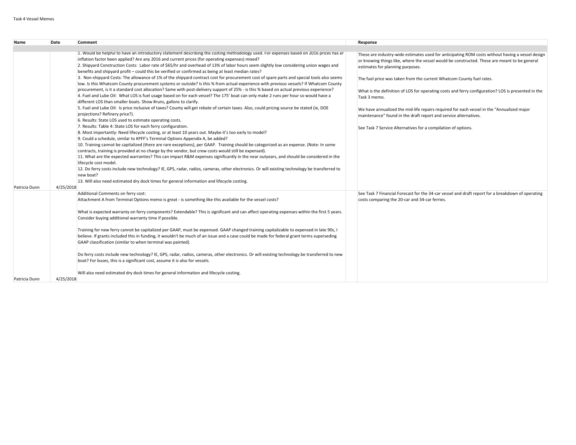| Name          | Date      | Comment                                                                                                                                                                                                                                                                                                                                                                                                                                                                                                                                                                                                                                                                                                                                                                                                                                                                                                                                                                                                                                                                                                                                                                                                                                                                                                                                                                                                                                                                                                                                                                                                                                                                                                                                                                                                                                                                                                                                                                                                                                                                                                                                                                                                                                                                                                                  | Response                                                                                                                                                                                                                                                                                                                                                                                                                                                                                                                                                                                                                                                             |
|---------------|-----------|--------------------------------------------------------------------------------------------------------------------------------------------------------------------------------------------------------------------------------------------------------------------------------------------------------------------------------------------------------------------------------------------------------------------------------------------------------------------------------------------------------------------------------------------------------------------------------------------------------------------------------------------------------------------------------------------------------------------------------------------------------------------------------------------------------------------------------------------------------------------------------------------------------------------------------------------------------------------------------------------------------------------------------------------------------------------------------------------------------------------------------------------------------------------------------------------------------------------------------------------------------------------------------------------------------------------------------------------------------------------------------------------------------------------------------------------------------------------------------------------------------------------------------------------------------------------------------------------------------------------------------------------------------------------------------------------------------------------------------------------------------------------------------------------------------------------------------------------------------------------------------------------------------------------------------------------------------------------------------------------------------------------------------------------------------------------------------------------------------------------------------------------------------------------------------------------------------------------------------------------------------------------------------------------------------------------------|----------------------------------------------------------------------------------------------------------------------------------------------------------------------------------------------------------------------------------------------------------------------------------------------------------------------------------------------------------------------------------------------------------------------------------------------------------------------------------------------------------------------------------------------------------------------------------------------------------------------------------------------------------------------|
|               |           |                                                                                                                                                                                                                                                                                                                                                                                                                                                                                                                                                                                                                                                                                                                                                                                                                                                                                                                                                                                                                                                                                                                                                                                                                                                                                                                                                                                                                                                                                                                                                                                                                                                                                                                                                                                                                                                                                                                                                                                                                                                                                                                                                                                                                                                                                                                          |                                                                                                                                                                                                                                                                                                                                                                                                                                                                                                                                                                                                                                                                      |
| Patricia Dunn | 4/25/2018 | 1. Would be helpful to have an introductory statement describing the costing methodology used. For expenses based on 2016 prices has ar<br>inflation factor been applied? Are any 2016 and current prices (for operating expenses) mixed?<br>2. Shipyard Construction Costs: Labor rate of \$65/hr and overhead of 13% of labor hours seem slightly low considering union wages and<br>benefits and shipyard profit - could this be verified or confirmed as being at least median rates?<br>3. Non-shipyard Costs: The allowance of 1% of the shipyard contract cost for procurement cost of spare parts and special tools also seems<br>low. Is this Whatcom County procurement systems or outside? Is this % from actual experience with previous vessels? If Whatcom County<br>procurement, is it a standard cost allocation? Same with post-delivery support of 25% - is this % based on actual previous experience?<br>4. Fuel and Lube Oil: What LOS is fuel usage based on for each vessel? The 175' boat can only make 2 runs per hour so would have a<br>different LOS than smaller boats. Show #runs, gallons to clarify.<br>5. Fuel and Lube Oil: Is price inclusive of taxes? County will get rebate of certain taxes. Also, could pricing source be stated (ie, DOE<br>projections? Refinery price?).<br>6. Results: State LOS used to estimate operating costs.<br>7. Results: Table 4: State LOS for each ferry configuration.<br>8. Most importantly: Need lifecycle costing, or at least 10 years out. Maybe it's too early to model?<br>9. Could a schedule, similar to KPFF's Terminal Options Appendix A, be added?<br>10. Training cannot be capitalized (there are rare exceptions), per GAAP. Training should be categorized as an expense. (Note: In some<br>contracts, training is provided at no charge by the vendor, but crew costs would still be expensed).<br>11. What are the expected warranties? This can impact R&M expenses significantly in the near outyears, and should be considered in the<br>lifecycle cost model.<br>12. Do ferry costs include new technology? IE, GPS, radar, radios, cameras, other electronics. Or will existing technology be transferred to<br>new boat?<br>13. Will also need estimated dry dock times for general information and lifecycle costing. | These are industry-wide estimates used for anticipating ROM costs without having a vessel design<br>or knowing things like, where the vessel would be constructed. These are meant to be general<br>estimates for planning purposes.<br>The fuel price was taken from the current Whatcom County fuel rates.<br>What is the definition of LOS for operating costs and ferry configuration? LOS is presented in the<br>Task 3 memo.<br>We have annualized the mid-life repairs required for each vessel in the "Annualized major<br>maintenance" found in the draft report and service alternatives.<br>See Task 7 Service Alternatives for a compilation of options. |
|               |           | Additional Comments on ferry cost:                                                                                                                                                                                                                                                                                                                                                                                                                                                                                                                                                                                                                                                                                                                                                                                                                                                                                                                                                                                                                                                                                                                                                                                                                                                                                                                                                                                                                                                                                                                                                                                                                                                                                                                                                                                                                                                                                                                                                                                                                                                                                                                                                                                                                                                                                       | See Task 7 Financial Forecast for the 34-car vessel and draft report for a breakdown of operating                                                                                                                                                                                                                                                                                                                                                                                                                                                                                                                                                                    |
|               |           | Attachment A from Terminal Options memo is great - is something like this available for the vessel costs?                                                                                                                                                                                                                                                                                                                                                                                                                                                                                                                                                                                                                                                                                                                                                                                                                                                                                                                                                                                                                                                                                                                                                                                                                                                                                                                                                                                                                                                                                                                                                                                                                                                                                                                                                                                                                                                                                                                                                                                                                                                                                                                                                                                                                | costs comparing the 20-car and 34-car ferries.                                                                                                                                                                                                                                                                                                                                                                                                                                                                                                                                                                                                                       |
|               |           | What is expected warranty on ferry components? Extendable? This is significant and can affect operating expenses within the first 5 years.<br>Consider buying additional warranty time if possible.                                                                                                                                                                                                                                                                                                                                                                                                                                                                                                                                                                                                                                                                                                                                                                                                                                                                                                                                                                                                                                                                                                                                                                                                                                                                                                                                                                                                                                                                                                                                                                                                                                                                                                                                                                                                                                                                                                                                                                                                                                                                                                                      |                                                                                                                                                                                                                                                                                                                                                                                                                                                                                                                                                                                                                                                                      |
|               |           | Training for new ferry cannot be capitalized per GAAP, must be expensed. GAAP changed training capitalizable to expensed in late 90s, I<br>believe. If grants included this in funding, it wouldn't be much of an issue and a case could be made for federal grant terms superseding<br>GAAP classification (similar to when terminal was painted).                                                                                                                                                                                                                                                                                                                                                                                                                                                                                                                                                                                                                                                                                                                                                                                                                                                                                                                                                                                                                                                                                                                                                                                                                                                                                                                                                                                                                                                                                                                                                                                                                                                                                                                                                                                                                                                                                                                                                                      |                                                                                                                                                                                                                                                                                                                                                                                                                                                                                                                                                                                                                                                                      |
|               |           | Do ferry costs include new technology? IE, GPS, radar, radios, cameras, other electronics. Or will existing technology be transferred to new<br>boat? For buses, this is a significant cost, assume it is also for vessels.                                                                                                                                                                                                                                                                                                                                                                                                                                                                                                                                                                                                                                                                                                                                                                                                                                                                                                                                                                                                                                                                                                                                                                                                                                                                                                                                                                                                                                                                                                                                                                                                                                                                                                                                                                                                                                                                                                                                                                                                                                                                                              |                                                                                                                                                                                                                                                                                                                                                                                                                                                                                                                                                                                                                                                                      |
| Patricia Dunn | 4/25/2018 | Will also need estimated dry dock times for general information and lifecycle costing.                                                                                                                                                                                                                                                                                                                                                                                                                                                                                                                                                                                                                                                                                                                                                                                                                                                                                                                                                                                                                                                                                                                                                                                                                                                                                                                                                                                                                                                                                                                                                                                                                                                                                                                                                                                                                                                                                                                                                                                                                                                                                                                                                                                                                                   |                                                                                                                                                                                                                                                                                                                                                                                                                                                                                                                                                                                                                                                                      |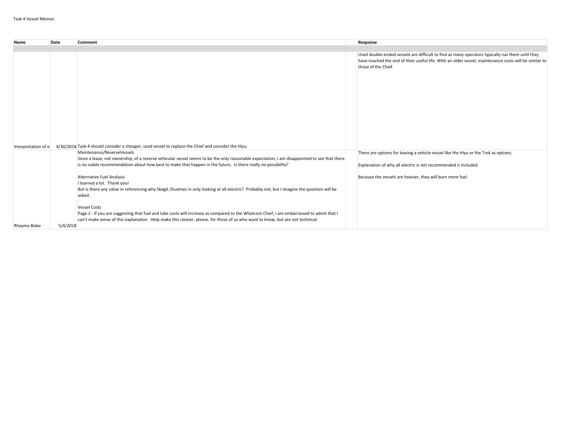| Name                | Date     | Comment                                                                                                                                                                                                                                                                                           | Response                                                                                                                                                                                                                        |
|---------------------|----------|---------------------------------------------------------------------------------------------------------------------------------------------------------------------------------------------------------------------------------------------------------------------------------------------------|---------------------------------------------------------------------------------------------------------------------------------------------------------------------------------------------------------------------------------|
|                     |          |                                                                                                                                                                                                                                                                                                   |                                                                                                                                                                                                                                 |
|                     |          |                                                                                                                                                                                                                                                                                                   | Used double-ended vessels are difficult to find as many operators typically run them until they<br>have reached the end of their useful life. With an older vessel, maintenance costs will be similar to<br>those of the Chief. |
| Interpretation of e |          | 4/30/2018 Task 4 should consider a cheaper, used vessel to replace the Chief and consider the Hiyu.                                                                                                                                                                                               |                                                                                                                                                                                                                                 |
|                     |          | Maintenance/ReserveVessels                                                                                                                                                                                                                                                                        | There are options for leasing a vehicle vessel like the Hiyu or the Trek as options.                                                                                                                                            |
|                     |          | Since a lease, not ownership, of a reserve vehicular vessel seems to be the only reasonable expectation, I am disappointed to see that there                                                                                                                                                      |                                                                                                                                                                                                                                 |
|                     |          | is no viable recommendation about how best to make that happen in the future. Is there really no possibility?                                                                                                                                                                                     | Explanation of why all electric is not recommended is included.                                                                                                                                                                 |
|                     |          | Alternative Fuel Analysis<br>I learned a lot. Thank you!<br>But is there any value in referencing why Skagit /Guemes in only looking at all-electric? Probably not, but I imagine the question will be<br>asked.                                                                                  | Because the vessels are heavier, they will burn more fuel.                                                                                                                                                                      |
| Rhayma Blake        | 5/4/2018 | <b>Vessel Costs</b><br>Page 2 - If you are suggesting that fuel and lube costs will increase as compared to the Whatcom Chief, I am embarrassed to admit that I<br>can't make sense of this explanation. Help make this clearer, please, for those of us who want to know, but are not technical. |                                                                                                                                                                                                                                 |